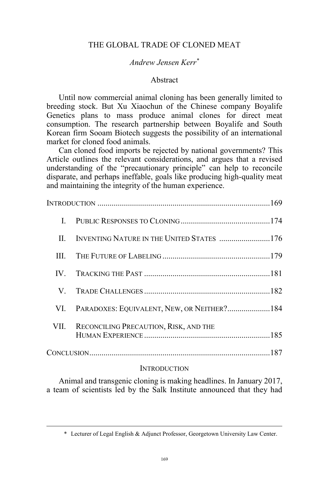# THE GLOBAL TRADE OF CLONED MEAT

# *Andrew Jensen Kerr\**

## Abstract

Until now commercial animal cloning has been generally limited to breeding stock. But Xu Xiaochun of the Chinese company Boyalife Genetics plans to mass produce animal clones for direct meat consumption. The research partnership between Boyalife and South Korean firm Sooam Biotech suggests the possibility of an international market for cloned food animals.

Can cloned food imports be rejected by national governments? This Article outlines the relevant considerations, and argues that a revised understanding of the "precautionary principle" can help to reconcile disparate, and perhaps ineffable, goals like producing high-quality meat and maintaining the integrity of the human experience.

| $\mathbf{H}$ |                                             |  |
|--------------|---------------------------------------------|--|
| III.         |                                             |  |
| IV           |                                             |  |
| V.           |                                             |  |
| VL.          | PARADOXES: EQUIVALENT, NEW, OR NEITHER? 184 |  |
| VII.         | RECONCILING PRECAUTION, RISK, AND THE       |  |
|              |                                             |  |
|              |                                             |  |

## **INTRODUCTION**

Animal and transgenic cloning is making headlines. In January 2017, a team of scientists led by the Salk Institute announced that they had

 <sup>\*</sup> Lecturer of Legal English & Adjunct Professor, Georgetown University Law Center.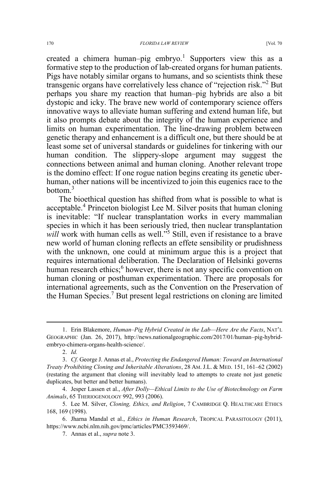created a chimera human–pig embryo.<sup>1</sup> Supporters view this as a formative step to the production of lab-created organs for human patients. Pigs have notably similar organs to humans, and so scientists think these transgenic organs have correlatively less chance of "rejection risk."<sup>2</sup> But perhaps you share my reaction that human–pig hybrids are also a bit dystopic and icky. The brave new world of contemporary science offers innovative ways to alleviate human suffering and extend human life, but it also prompts debate about the integrity of the human experience and limits on human experimentation. The line-drawing problem between genetic therapy and enhancement is a difficult one, but there should be at least some set of universal standards or guidelines for tinkering with our human condition. The slippery-slope argument may suggest the connections between animal and human cloning. Another relevant trope is the domino effect: If one rogue nation begins creating its genetic uberhuman, other nations will be incentivized to join this eugenics race to the bottom.3

The bioethical question has shifted from what is possible to what is acceptable.<sup>4</sup> Princeton biologist Lee M. Silver posits that human cloning is inevitable: "If nuclear transplantation works in every mammalian species in which it has been seriously tried, then nuclear transplantation *will* work with human cells as well."<sup>5</sup> Still, even if resistance to a brave new world of human cloning reflects an effete sensibility or prudishness with the unknown, one could at minimum argue this is a project that requires international deliberation. The Declaration of Helsinki governs human research ethics; however, there is not any specific convention on human cloning or posthuman experimentation. There are proposals for international agreements, such as the Convention on the Preservation of the Human Species.<sup>7</sup> But present legal restrictions on cloning are limited

 <sup>1.</sup> Erin Blakemore, *Human–Pig Hybrid Created in the Lab—Here Are the Facts*, NAT'<sup>L</sup> GEOGRAPHIC (Jan. 26, 2017), http://news.nationalgeographic.com/2017/01/human–pig-hybridembryo-chimera-organs-health-science/.

<sup>2.</sup> *Id.*

<sup>3.</sup> *Cf.* George J. Annas et al., *Protecting the Endangered Human: Toward an International Treaty Prohibiting Cloning and Inheritable Alterations*, 28 AM. J.L. & MED. 151, 161–62 (2002) (restating the argument that cloning will inevitably lead to attempts to create not just genetic duplicates, but better and better humans).

<sup>4.</sup> Jesper Lassen et al., *After Dolly—Ethical Limits to the Use of Biotechnology on Farm Animals*, 65 THERIOGENOLOGY 992, 993 (2006).

<sup>5.</sup> Lee M. Silver, *Cloning, Ethics, and Religion*,7CAMBRIDGE Q. HEALTHCARE ETHICS 168, 169 (1998).

<sup>6.</sup> Jharna Mandal et al., *Ethics in Human Research*, TROPICAL PARASITOLOGY (2011), https://www.ncbi.nlm.nih.gov/pmc/articles/PMC3593469/.

<sup>7.</sup> Annas et al., *supra* note 3.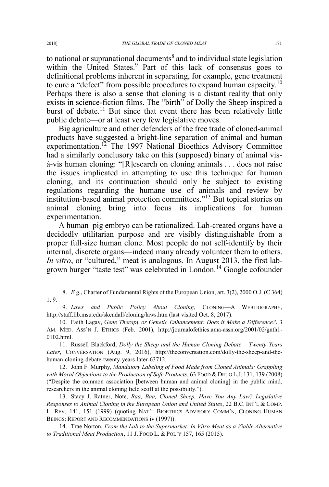to national or supranational documents<sup>8</sup> and to individual state legislation within the United States.<sup>9</sup> Part of this lack of consensus goes to definitional problems inherent in separating, for example, gene treatment to cure a "defect" from possible procedures to expand human capacity.<sup>10</sup> Perhaps there is also a sense that cloning is a distant reality that only exists in science-fiction films. The "birth" of Dolly the Sheep inspired a burst of debate.<sup>11</sup> But since that event there has been relatively little public debate—or at least very few legislative moves.

Big agriculture and other defenders of the free trade of cloned-animal products have suggested a bright-line separation of animal and human experimentation.<sup>12</sup> The 1997 National Bioethics Advisory Committee had a similarly conclusory take on this (supposed) binary of animal visà-vis human cloning: "[R]esearch on cloning animals . . . does not raise the issues implicated in attempting to use this technique for human cloning, and its continuation should only be subject to existing regulations regarding the humane use of animals and review by institution-based animal protection committees."<sup>13</sup> But topical stories on animal cloning bring into focus its implications for human experimentation.

A human–pig embryo can be rationalized. Lab-created organs have a decidedly utilitarian purpose and are visibly distinguishable from a proper full-size human clone. Most people do not self-identify by their internal, discrete organs—indeed many already volunteer them to others. *In vitro*, or "cultured," meat is analogous. In August 2013, the first labgrown burger "taste test" was celebrated in London.<sup>14</sup> Google cofounder

12. John F. Murphy, *Mandatory Labeling of Food Made from Cloned Animals: Grappling*  with Moral Objections to the Production of Safe Products, 63 FOOD & DRUG L.J. 131, 139 (2008) ("Despite the common association [between human and animal cloning] in the public mind, researchers in the animal cloning field scoff at the possibility.").

13. Stacy J. Ratner, Note, *Baa, Baa, Cloned Sheep, Have You Any Law? Legislative Responses to Animal Cloning in the European Union and United States*, 22 B.C. INT'L & COMP. L. REV. 141, 151 (1999) (quoting NAT'L BIOETHICS ADVISORY COMM'N, CLONING HUMAN BEINGS: REPORT AND RECOMMENDATIONS iv (1997)).

14. Trae Norton, *From the Lab to the Supermarket: In Vitro Meat as a Viable Alternative to Traditional Meat Production*, 11 J. FOOD L. & POL'Y 157, 165 (2015).

 <sup>8.</sup> *E.g.*, Charter of Fundamental Rights of the European Union, art. 3(2), 2000 O.J. (C 364) 1, 9.

<sup>9.</sup> *Laws and Public Policy About Cloning*, CLONING—A WEBLIOGRAPHY, http://staff.lib.msu.edu/skendall/cloning/laws.htm (last visited Oct. 8, 2017).

<sup>10.</sup> Faith Lagay, *Gene Therapy or Genetic Enhancement: Does it Make a Difference?*, 3 AM. MED. ASS'N J. ETHICS (Feb. 2001), http://journalofethics.ama-assn.org/2001/02/gnth1- 0102.html.

<sup>11.</sup> Russell Blackford, *Dolly the Sheep and the Human Cloning Debate – Twenty Years Later*, CONVERSATION (Aug. 9, 2016), http://theconversation.com/dolly-the-sheep-and-thehuman-cloning-debate-twenty-years-later-63712.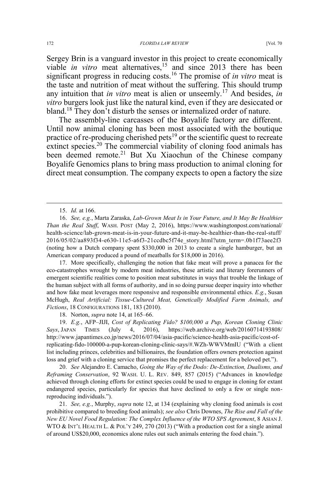Sergey Brin is a vanguard investor in this project to create economically viable *in vitro* meat alternatives,<sup>15</sup> and since 2013 there has been significant progress in reducing costs.<sup>16</sup> The promise of *in vitro* meat is the taste and nutrition of meat without the suffering. This should trump any intuition that *in vitro* meat is alien or unseemly.<sup>17</sup> And besides, *in vitro* burgers look just like the natural kind, even if they are desiccated or bland.18 They don't disturb the senses or internalized order of nature.

The assembly-line carcasses of the Boyalife factory are different. Until now animal cloning has been most associated with the boutique practice of re-producing cherished pets<sup>19</sup> or the scientific quest to recreate extinct species.<sup>20</sup> The commercial viability of cloning food animals has been deemed remote.<sup>21</sup> But Xu Xiaochun of the Chinese company Boyalife Genomics plans to bring mass production to animal cloning for direct meat consumption. The company expects to open a factory the size

17. More specifically, challenging the notion that fake meat will prove a panacea for the eco-catastrophes wrought by modern meat industries, these artistic and literary forerunners of emergent scientific realities come to position meat substitutes in ways that trouble the linkage of the human subject with all forms of authority, and in so doing pursue deeper inquiry into whether and how fake meat leverages more responsive and responsible environmental ethics. *E.g.*, Susan McHugh, *Real Artificial: Tissue-Cultured Meat, Genetically Modified Farm Animals, and Fictions*, 18 CONFIGURATIONS 181, 183 (2010).

18. Norton, *supra* note 14, at 165–66.

19. *E.g.*, AFP–JIJI, *Cost of Replicating Fido? \$100,000 a Pup, Korean Cloning Clinic Says*, JAPAN TIMES (July 4, 2016), https://web.archive.org/web/20160714193808/ http://www.japantimes.co.jp/news/2016/07/04/asia-pacific/science-health-asia-pacific/cost-ofreplicating-fido-100000-a-pup-korean-cloning-clinic-says/#.WZh-WWVMmIU ("With a client list including princes, celebrities and billionaires, the foundation offers owners protection against loss and grief with a cloning service that promises the perfect replacement for a beloved pet.").

20. *See* Alejandro E. Camacho, *Going the Way of the Dodo: De-Extinction, Dualisms, and Reframing Conservation*, 92 WASH. U. L. REV. 849, 857 (2015) ("Advances in knowledge achieved through cloning efforts for extinct species could be used to engage in cloning for extant endangered species, particularly for species that have declined to only a few or single nonreproducing individuals.").

21. *See, e.g.*, Murphy, *supra* note 12, at 134 (explaining why cloning food animals is cost prohibitive compared to breeding food animals); *see also* Chris Downes, *The Rise and Fall of the New EU Novel Food Regulation: The Complex Influence of the WTO SPS Agreement*, 8 ASIAN J. WTO & INT'L HEALTH L. & POL'Y 249, 270 (2013) ("With a production cost for a single animal of around US\$20,000, economics alone rules out such animals entering the food chain.").

 <sup>15.</sup> *Id.* at 166.

<sup>16.</sup> *See, e.g.*, Marta Zaraska, *Lab-Grown Meat Is in Your Future, and It May Be Healthier Than the Real Stuff*, WASH. POST (May 2, 2016), https://www.washingtonpost.com/national/ health-science/lab-grown-meat-is-in-your-future-and-it-may-be-healthier-than-the-real-stuff/ 2016/05/02/aa893f34-e630-11e5-a6f3-21ccdbc5f74e\_story.html?utm\_term=.0b1f73aee2f3 (noting how a Dutch company spent \$330,000 in 2013 to create a single hamburger, but an American company produced a pound of meatballs for \$18,000 in 2016).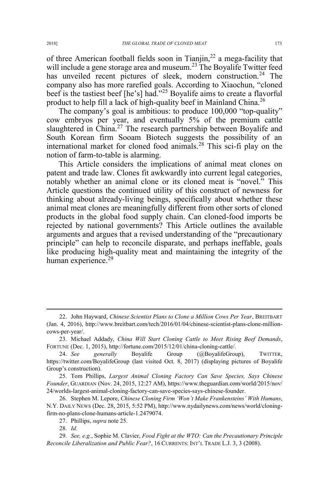of three American football fields soon in Tianjin, $^{22}$  a mega-facility that will include a gene storage area and museum.<sup>23</sup> The Boyalife Twitter feed has unveiled recent pictures of sleek, modern construction.<sup>24</sup> The company also has more rarefied goals. According to Xiaochun, "cloned beef is the tastiest beef [he's] had."<sup>25</sup> Boyalife aims to create a flavorful product to help fill a lack of high-quality beef in Mainland China.<sup>26</sup>

The company's goal is ambitious: to produce 100,000 "top-quality" cow embryos per year, and eventually 5% of the premium cattle slaughtered in China.<sup>27</sup> The research partnership between Boyalife and South Korean firm Sooam Biotech suggests the possibility of an international market for cloned food animals.<sup>28</sup> This sci-fi play on the notion of farm-to-table is alarming.

This Article considers the implications of animal meat clones on patent and trade law. Clones fit awkwardly into current legal categories, notably whether an animal clone or its cloned meat is "novel." This Article questions the continued utility of this construct of newness for thinking about already-living beings, specifically about whether these animal meat clones are meaningfully different from other sorts of cloned products in the global food supply chain. Can cloned-food imports be rejected by national governments? This Article outlines the available arguments and argues that a revised understanding of the "precautionary principle" can help to reconcile disparate, and perhaps ineffable, goals like producing high-quality meat and maintaining the integrity of the human experience. $29$ 

 <sup>22.</sup> John Hayward, *Chinese Scientist Plans to Clone a Million Cows Per Year*, BREITBART (Jan. 4, 2016), http://www.breitbart.com/tech/2016/01/04/chinese-scientist-plans-clone-millioncows-per-year/.

<sup>23.</sup> Michael Addady, *China Will Start Cloning Cattle to Meet Rising Beef Demands*, FORTUNE (Dec. 1, 2015), http://fortune.com/2015/12/01/china-cloning-cattle/.

<sup>24.</sup> *See generally* Boyalife Group (@BoyalifeGroup), TWITTER, https://twitter.com/BoyalifeGroup (last visited Oct. 8, 2017) (displaying pictures of Boyalife Group's construction).

<sup>25.</sup> Tom Phillips, *Largest Animal Cloning Factory Can Save Species, Says Chinese Founder*, GUARDIAN (Nov. 24, 2015, 12:27 AM), https://www.theguardian.com/world/2015/nov/ 24/worlds-largest-animal-cloning-factory-can-save-species-says-chinese-founder.

<sup>26.</sup> Stephen M. Lepore, *Chinese Cloning Firm 'Won't Make Frankensteins' With Humans*, N.Y. DAILY NEWS (Dec. 28, 2015, 5:52 PM), http://www.nydailynews.com/news/world/cloningfirm-no-plans-clone-humans-article-1.2479074.

<sup>27.</sup> Phillips, *supra* note 25.

<sup>28.</sup> *Id.*

<sup>29.</sup> *See, e.g.*, Sophie M. Clavier, *Food Fight at the WTO: Can the Precautionary Principle Reconcile Liberalization and Public Fear?*, 16 CURRENTS: INT'L TRADE L.J. 3, 3 (2008).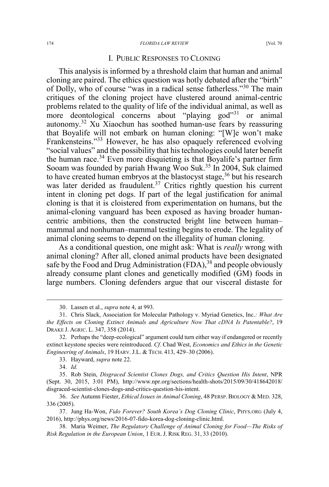#### 174 *FLORIDA LAW REVIEW* [Vol. 70

## I. PUBLIC RESPONSES TO CLONING

This analysis is informed by a threshold claim that human and animal cloning are paired. The ethics question was hotly debated after the "birth" of Dolly, who of course "was in a radical sense fatherless."<sup>30</sup> The main critiques of the cloning project have clustered around animal-centric problems related to the quality of life of the individual animal, as well as more deontological concerns about "playing god"<sup>31</sup> or animal autonomy.<sup>32</sup> Xu Xiaochun has soothed human-use fears by reassuring that Boyalife will not embark on human cloning: "[W]e won't make Frankensteins."<sup>33</sup> However, he has also opaquely referenced evolving "social values" and the possibility that his technologies could later benefit the human race.<sup>34</sup> Even more disquieting is that Boyalife's partner firm Sooam was founded by pariah Hwang Woo Suk.<sup>35</sup> In 2004, Suk claimed to have created human embryos at the blastocyst stage,  $36$  but his research was later derided as fraudulent.<sup>37</sup> Critics rightly question his current intent in cloning pet dogs. If part of the legal justification for animal cloning is that it is cloistered from experimentation on humans, but the animal-cloning vanguard has been exposed as having broader humancentric ambitions, then the constructed bright line between human– mammal and nonhuman–mammal testing begins to erode. The legality of animal cloning seems to depend on the illegality of human cloning.

As a conditional question, one might ask: What is *really* wrong with animal cloning? After all, cloned animal products have been designated safe by the Food and Drug Administration  $(FDA)$ ,<sup>38</sup> and people obviously already consume plant clones and genetically modified (GM) foods in large numbers. Cloning defenders argue that our visceral distaste for

 <sup>30.</sup> Lassen et al., *supra* note 4, at 993.

<sup>31.</sup> Chris Slack, Association for Molecular Pathology v. Myriad Genetics, Inc.*: What Are the Effects on Cloning Extinct Animals and Agriculture Now That cDNA Is Patentable?*, 19 DRAKE J. AGRIC. L. 347, 358 (2014).

<sup>32.</sup> Perhaps the "deep-ecological" argument could turn either way if endangered or recently extinct keystone species were reintroduced. *Cf.* Chad West, *Economics and Ethics in the Genetic Engineering of Animals*, 19 HARV. J.L. & TECH. 413, 429–30 (2006).

<sup>33.</sup> Hayward, *supra* note 22.

<sup>34.</sup> *Id.*

<sup>35.</sup> Rob Stein, *Disgraced Scientist Clones Dogs, and Critics Question His Intent*, NPR (Sept. 30, 2015, 3:01 PM), http://www.npr.org/sections/health-shots/2015/09/30/418642018/ disgraced-scientist-clones-dogs-and-critics-question-his-intent.

<sup>36.</sup> *See* Autumn Fiester, *Ethical Issues in Animal Cloning*, 48 PERSP. BIOLOGY & MED. 328, 336 (2005).

<sup>37.</sup> Jung Ha-Won, *Fido Forever? South Korea's Dog Cloning Clinic*, PHYS.ORG (July 4, 2016), http://phys.org/news/2016-07-fido-korea-dog-cloning-clinic.html.

<sup>38.</sup> Maria Weimer, *The Regulatory Challenge of Animal Cloning for Food—The Risks of Risk Regulation in the European Union*,1EUR. J. RISK REG. 31, 33 (2010).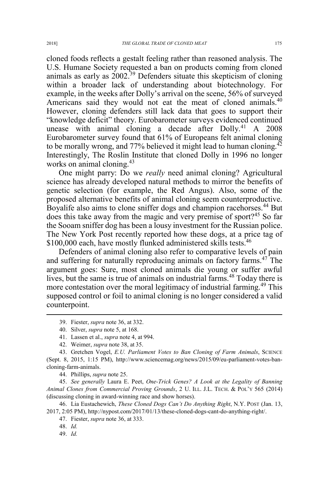cloned foods reflects a gestalt feeling rather than reasoned analysis. The U.S. Humane Society requested a ban on products coming from cloned animals as early as  $2002<sup>39</sup>$  Defenders situate this skepticism of cloning within a broader lack of understanding about biotechnology. For example, in the weeks after Dolly's arrival on the scene, 56% of surveyed Americans said they would not eat the meat of cloned animals.<sup>40</sup> However, cloning defenders still lack data that goes to support their "knowledge deficit" theory. Eurobarometer surveys evidenced continued unease with animal cloning a decade after Dolly.<sup>41</sup> A 2008 Eurobarometer survey found that 61% of Europeans felt animal cloning to be morally wrong, and 77% believed it might lead to human cloning.<sup>42</sup> Interestingly, The Roslin Institute that cloned Dolly in 1996 no longer works on animal cloning.<sup>43</sup>

One might parry: Do we *really* need animal cloning? Agricultural science has already developed natural methods to mirror the benefits of genetic selection (for example, the Red Angus). Also, some of the proposed alternative benefits of animal cloning seem counterproductive. Boyalife also aims to clone sniffer dogs and champion racehorses.<sup>44</sup> But does this take away from the magic and very premise of sport?<sup>45</sup> So far the Sooam sniffer dog has been a lousy investment for the Russian police. The New York Post recently reported how these dogs, at a price tag of \$100,000 each, have mostly flunked administered skills tests.<sup>46</sup>

Defenders of animal cloning also refer to comparative levels of pain and suffering for naturally reproducing animals on factory farms.<sup>47</sup> The argument goes: Sure, most cloned animals die young or suffer awful lives, but the same is true of animals on industrial farms.<sup>48</sup> Today there is more contestation over the moral legitimacy of industrial farming.<sup>49</sup> This supposed control or foil to animal cloning is no longer considered a valid counterpoint.

44. Phillips, *supra* note 25.

45. *See generally* Laura E. Peet, *One-Trick Genes? A Look at the Legality of Banning Animal Clones from Commercial Proving Grounds*, 2 U. ILL. J.L. TECH. & POL'Y 565 (2014) (discussing cloning in award-winning race and show horses).

46. Lia Eustachewich, *These Cloned Dogs Can't Do Anything Right*, N.Y. POST (Jan. 13, 2017, 2:05 PM), http://nypost.com/2017/01/13/these-cloned-dogs-cant-do-anything-right/.

 <sup>39.</sup> Fiester, *supra* note 36, at 332.

<sup>40.</sup> Silver, *supra* note 5, at 168.

<sup>41.</sup> Lassen et al., *supra* note 4, at 994.

<sup>42.</sup> Weimer, *supra* note 38, at 35.

<sup>43.</sup> Gretchen Vogel, *E.U. Parliament Votes to Ban Cloning of Farm Animals*, SCIENCE (Sept. 8, 2015, 1:15 PM), http://www.sciencemag.org/news/2015/09/eu-parliament-votes-bancloning-farm-animals.

<sup>47.</sup> Fiester, *supra* note 36, at 333.

<sup>48.</sup> *Id.*

<sup>49.</sup> *Id.*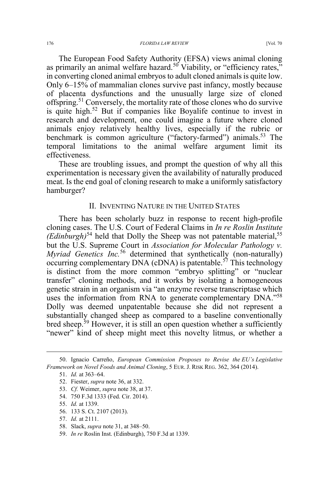The European Food Safety Authority (EFSA) views animal cloning as primarily an animal welfare hazard.<sup>50</sup> Viability, or "efficiency rates," in converting cloned animal embryos to adult cloned animals is quite low. Only 6–15% of mammalian clones survive past infancy, mostly because of placenta dysfunctions and the unusually large size of cloned offspring.<sup>51</sup> Conversely, the mortality rate of those clones who do survive is quite high.<sup>52</sup> But if companies like Boyalife continue to invest in research and development, one could imagine a future where cloned animals enjoy relatively healthy lives, especially if the rubric or benchmark is common agriculture ("factory-farmed") animals.<sup>53</sup> The temporal limitations to the animal welfare argument limit its effectiveness.

These are troubling issues, and prompt the question of why all this experimentation is necessary given the availability of naturally produced meat. Is the end goal of cloning research to make a uniformly satisfactory hamburger?

## II. INVENTING NATURE IN THE UNITED STATES

There has been scholarly buzz in response to recent high-profile cloning cases. The U.S. Court of Federal Claims in *In re Roslin Institute (Edinburgh)*<sup>54</sup> held that Dolly the Sheep was not patentable material,<sup>55</sup> but the U.S. Supreme Court in *Association for Molecular Pathology v. Myriad Genetics Inc.*<sup>56</sup> determined that synthetically (non-naturally) occurring complementary DNA (cDNA) is patentable.<sup>57</sup> This technology is distinct from the more common "embryo splitting" or "nuclear transfer" cloning methods, and it works by isolating a homogeneous genetic strain in an organism via "an enzyme reverse transcriptase which uses the information from RNA to generate complementary DNA."<sup>58</sup> Dolly was deemed unpatentable because she did not represent a substantially changed sheep as compared to a baseline conventionally bred sheep.<sup>59</sup> However, it is still an open question whether a sufficiently "newer" kind of sheep might meet this novelty litmus, or whether a

54. 750 F.3d 1333 (Fed. Cir. 2014).

 <sup>50.</sup> Ignacio Carreño, *European Commission Proposes to Revise the EU's Legislative Framework on Novel Foods and Animal Cloning*, 5 EUR. J. RISK REG. 362, 364 (2014).

<sup>51.</sup> *Id.* at 363–64.

<sup>52.</sup> Fiester, *supra* note 36, at 332.

<sup>53.</sup> *Cf.* Weimer, *supra* note 38, at 37.

<sup>55.</sup> *Id.* at 1339.

<sup>56. 133</sup> S. Ct. 2107 (2013).

<sup>57.</sup> *Id.* at 2111.

<sup>58.</sup> Slack, *supra* note 31, at 348–50.

<sup>59.</sup> *In re* Roslin Inst. (Edinburgh), 750 F.3d at 1339.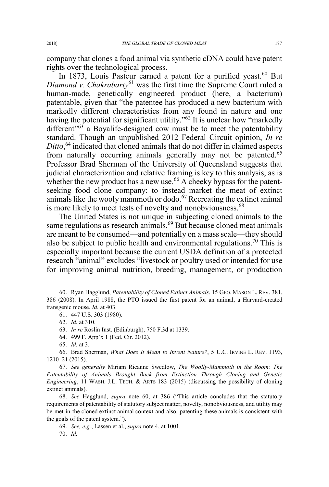company that clones a food animal via synthetic cDNA could have patent rights over the technological process.

In 1873, Louis Pasteur earned a patent for a purified yeast.<sup>60</sup> But *Diamond v. Chakrabarty*<sup>61</sup> was the first time the Supreme Court ruled a human-made, genetically engineered product (here, a bacterium) patentable, given that "the patentee has produced a new bacterium with markedly different characteristics from any found in nature and one having the potential for significant utility."<sup>62</sup> It is unclear how "markedly different<sup> $53$ </sup> a Boyalife-designed cow must be to meet the patentability standard. Though an unpublished 2012 Federal Circuit opinion, *In re Ditto*, <sup>64</sup> indicated that cloned animals that do not differ in claimed aspects from naturally occurring animals generally may not be patented.<sup>65</sup> Professor Brad Sherman of the University of Queensland suggests that judicial characterization and relative framing is key to this analysis, as is whether the new product has a new use.<sup>66</sup> A cheeky bypass for the patentseeking food clone company: to instead market the meat of extinct animals like the wooly mammoth or dodo.<sup>67</sup> Recreating the extinct animal is more likely to meet tests of novelty and nonobviousness.<sup>68</sup>

The United States is not unique in subjecting cloned animals to the same regulations as research animals.<sup>69</sup> But because cloned meat animals are meant to be consumed—and potentially on a mass scale—they should also be subject to public health and environmental regulations.<sup>70</sup> This is especially important because the current USDA definition of a protected research "animal" excludes "livestock or poultry used or intended for use for improving animal nutrition, breeding, management, or production

64. 499 F. App'x 1 (Fed. Cir. 2012).

67. *See generally* Miriam Ricanne Swedlow, *The Woolly-Mammoth in the Room: The Patentability of Animals Brought Back from Extinction Through Cloning and Genetic Engineering*, 11 WASH. J.L. TECH. & ARTS 183 (2015) (discussing the possibility of cloning extinct animals).

68. *See* Hagglund, *supra* note 60, at 386 ("This article concludes that the statutory requirements of patentability of statutory subject matter, novelty, nonobviousness, and utility may be met in the cloned extinct animal context and also, patenting these animals is consistent with the goals of the patent system.").

69. *See, e.g.*, Lassen et al., *supra* note 4, at 1001.

70. *Id.*

 <sup>60.</sup> Ryan Hagglund, *Patentability of Cloned Extinct Animals*, 15 GEO. MASON L. REV. 381, 386 (2008). In April 1988, the PTO issued the first patent for an animal, a Harvard-created transgenic mouse. *Id.* at 403.

<sup>61. 447</sup> U.S. 303 (1980).

<sup>62.</sup> *Id.* at 310.

<sup>63.</sup> *In re* Roslin Inst. (Edinburgh), 750 F.3d at 1339.

<sup>65.</sup> *Id.* at 3.

<sup>66.</sup> Brad Sherman, *What Does It Mean to Invent Nature?*, 5 U.C. IRVINE L. REV. 1193, 1210–21 (2015).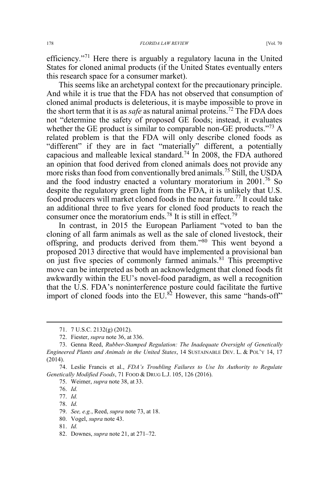efficiency."<sup>71</sup> Here there is arguably a regulatory lacuna in the United States for cloned animal products (if the United States eventually enters this research space for a consumer market).

This seems like an archetypal context for the precautionary principle. And while it is true that the FDA has not observed that consumption of cloned animal products is deleterious, it is maybe impossible to prove in the short term that it is as *safe* as natural animal proteins.<sup>72</sup> The FDA does not "determine the safety of proposed GE foods; instead, it evaluates whether the GE product is similar to comparable non-GE products.<sup>773</sup> A related problem is that the FDA will only describe cloned foods as "different" if they are in fact "materially" different, a potentially capacious and malleable lexical standard.<sup>74</sup> In 2008, the FDA authored an opinion that food derived from cloned animals does not provide any more risks than food from conventionally bred animals.<sup>75</sup> Still, the USDA and the food industry enacted a voluntary moratorium in 2001.<sup>76</sup> So despite the regulatory green light from the FDA, it is unlikely that U.S. food producers will market cloned foods in the near future.<sup>77</sup> It could take an additional three to five years for cloned food products to reach the consumer once the moratorium ends.<sup>78</sup> It is still in effect.<sup>79</sup>

In contrast, in 2015 the European Parliament "voted to ban the cloning of all farm animals as well as the sale of cloned livestock, their offspring, and products derived from them."<sup>80</sup> This went beyond a proposed 2013 directive that would have implemented a provisional ban on just five species of commonly farmed animals.<sup>81</sup> This preemptive move can be interpreted as both an acknowledgment that cloned foods fit awkwardly within the EU's novel-food paradigm, as well a recognition that the U.S. FDA's noninterference posture could facilitate the furtive import of cloned foods into the  $EU$ .<sup>82</sup> However, this same "hands-off"

74. Leslie Francis et al., *FDA's Troubling Failures to Use Its Authority to Regulate Genetically Modified Foods*, 71 FOOD & DRUG L.J. 105, 126 (2016).

76. *Id.*

77. *Id.*

78. *Id.*

80. Vogel, *supra* note 43.

81. *Id.*

82. Downes, *supra* note 21, at 271–72.

 <sup>71. 7</sup> U.S.C. 2132(g) (2012).

<sup>72.</sup> Fiester, *supra* note 36, at 336.

<sup>73.</sup> Genna Reed, *Rubber-Stamped Regulation: The Inadequate Oversight of Genetically Engineered Plants and Animals in the United States*, 14 SUSTAINABLE DEV. L. & POL'Y 14, 17 (2014).

<sup>75.</sup> Weimer, *supra* note 38, at 33.

<sup>79.</sup> *See, e.g.*, Reed, *supra* note 73, at 18.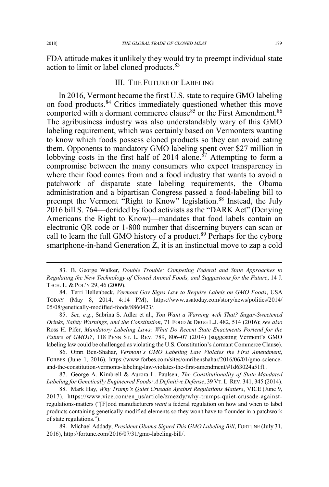FDA attitude makes it unlikely they would try to preempt individual state action to limit or label cloned products.<sup>83</sup>

## III. THE FUTURE OF LABELING

In 2016, Vermont became the first U.S. state to require GMO labeling on food products.<sup>84</sup> Critics immediately questioned whether this move comported with a dormant commerce clause<sup>85</sup> or the First Amendment.<sup>86</sup> The agribusiness industry was also understandably wary of this GMO labeling requirement, which was certainly based on Vermonters wanting to know which foods possess cloned products so they can avoid eating them. Opponents to mandatory GMO labeling spent over \$27 million in lobbying costs in the first half of 2014 alone.<sup>87</sup> Attempting to form a compromise between the many consumers who expect transparency in where their food comes from and a food industry that wants to avoid a patchwork of disparate state labeling requirements, the Obama administration and a bipartisan Congress passed a food-labeling bill to preempt the Vermont "Right to Know" legislation.<sup>88</sup> Instead, the July 2016 bill S. 764—derided by food activists as the "DARK Act" (Denying Americans the Right to Know)—mandates that food labels contain an electronic QR code or 1-800 number that discerning buyers can scan or call to learn the full GMO history of a product.<sup>89</sup> Perhaps for the cyborg smartphone-in-hand Generation Z, it is an instinctual move to zap a cold

85. *See, e.g.*, Sabrina S. Adler et al., *You Want a Warning with That? Sugar-Sweetened Drinks, Safety Warnings, and the Constitution*, 71 FOOD & DRUG L.J. 482, 514 (2016); *see also* Ross H. Pifer, *Mandatory Labeling Laws: What Do Recent State Enactments Portend for the Future of GMOs?*, 118 PENN ST. L. REV. 789, 806–07 (2014) (suggesting Vermont's GMO labeling law could be challenged as violating the U.S. Constitution's dormant Commerce Clause).

86. Omri Ben-Shahar, *Vermont's GMO Labeling Law Violates the First Amendment*, FORBES (June 1, 2016), https://www.forbes.com/sites/omribenshahar/2016/06/01/gmo-scienceand-the-constitution-vermonts-labeling-law-violates-the-first-amendment/#1d63024a51f1.

87. George A. Kimbrell & Aurora L. Paulsen, *The Constitutionality of State-Mandated Labeling for Genetically Engineered Foods: A Definitive Defense*, 39 VT. L. REV. 341, 345 (2014).

88. Mark Hay, *Why Trump's Quiet Crusade Against Regulations Matters*, VICE (June 9, 2017), https://www.vice.com/en\_us/article/zmezdy/why-trumps-quiet-crusade-againstregulations-matters ("[F]ood manufacturers *want* a federal regulation on how and when to label products containing genetically modified elements so they won't have to flounder in a patchwork of state regulations.").

89. Michael Addady, *President Obama Signed This GMO Labeling Bill*, FORTUNE (July 31, 2016), http://fortune.com/2016/07/31/gmo-labeling-bill/.

 <sup>83.</sup> B. George Walker, *Double Trouble: Competing Federal and State Approaches to Regulating the New Technology of Cloned Animal Foods, and Suggestions for the Future*, 14 J. TECH. L. & POL'Y 29, 46 (2009).

<sup>84.</sup> Terri Hellenbeck, *Vermont Gov Signs Law to Require Labels on GMO Foods*, USA TODAY (May 8, 2014, 4:14 PM), https://www.usatoday.com/story/news/politics/2014/ 05/08/genetically-modified-foods/8860423/.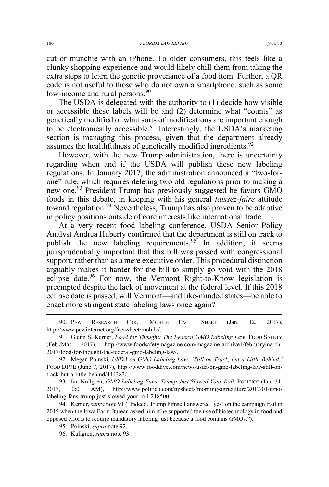cut or munchie with an iPhone. To older consumers, this feels like a clunky shopping experience and would likely chill them from taking the extra steps to learn the genetic provenance of a food item. Further, a QR code is not useful to those who do not own a smartphone, such as some low-income and rural persons.<sup>90</sup>

The USDA is delegated with the authority to (1) decide how visible or accessible these labels will be and (2) determine what "counts" as genetically modified or what sorts of modifications are important enough to be electronically accessible.<sup>91</sup> Interestingly, the USDA's marketing section is managing this process, given that the department already assumes the healthfulness of genetically modified ingredients.<sup>92</sup>

However, with the new Trump administration, there is uncertainty regarding when and if the USDA will publish these new labeling regulations. In January 2017, the administration announced a "two-forone" rule, which requires deleting two old regulations prior to making a new one.<sup>93</sup> President Trump has previously suggested he favors GMO foods in this debate, in keeping with his general *laissez-faire* attitude toward regulation.<sup>94</sup> Nevertheless, Trump has also proven to be adaptive in policy positions outside of core interests like international trade.

At a very recent food labeling conference, USDA Senior Policy Analyst Andrea Huberty confirmed that the department is still on track to publish the new labeling requirements.<sup>95</sup> In addition, it seems jurisprudentially important that this bill was passed with congressional support, rather than as a mere executive order. This procedural distinction arguably makes it harder for the bill to simply go void with the 2018 eclipse date.<sup>96</sup> For now, the Vermont Right-to-Know legislation is preempted despite the lack of movement at the federal level. If this 2018 eclipse date is passed, will Vermont—and like-minded states—be able to enact more stringent state labeling laws once again?

93. Ian Kullgren, *GMO Labeling Fans, Trump Just Slowed Your Roll*, POLITICO (Jan. 31, 2017, 10:01 AM), http://www.politico.com/tipsheets/morning-agriculture/2017/01/gmolabeling-fans-trump-just-slowed-your-roll-218500.

94. Kerner, *supra* note 91 ("Indeed, Trump himself answered 'yes' on the campaign trail in 2015 when the Iowa Farm Bureau asked him if he supported the use of biotechnology in food and opposed efforts to require mandatory labeling just because a food contains GMOs.").

 <sup>90.</sup> PEW RESEARCH CTR., MOBILE FACT SHEET (Jan. 12, 2017), http://www.pewinternet.org/fact-sheet/mobile/.

<sup>91.</sup> Glenn S. Kerner, *Food for Thought: The Federal GMO Labeling Law*, Food SAFETY (Feb./Mar. 2017), http://www.foodsafetymagazine.com/magazine-archive1/februarymarch-2017/food-for-thought-the-federal-gmo-labeling-law/.

<sup>92.</sup> Megan Poinski, *USDA on GMO Labeling Law: 'Still on Track, but a Little Behind*,*'* FOOD DIVE (June 7, 2017), http://www.fooddive.com/news/usda-on-gmo-labeling-law-still-ontrack-but-a-little-behind/444383/.

<sup>95.</sup> Poinski, *supra* note 92.

<sup>96.</sup> Kullgren, *supra* note 93.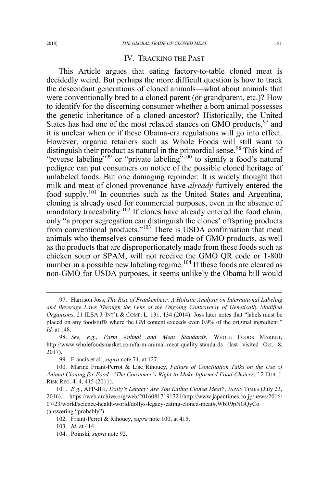## IV. TRACKING THE PAST

This Article argues that eating factory-to-table cloned meat is decidedly weird. But perhaps the more difficult question is how to track the descendant generations of cloned animals—what about animals that were conventionally bred to a cloned parent (or grandparent, etc.)? How to identify for the discerning consumer whether a born animal possesses the genetic inheritance of a cloned ancestor? Historically, the United States has had one of the most relaxed stances on GMO products,  $97$  and it is unclear when or if these Obama-era regulations will go into effect. However, organic retailers such as Whole Foods will still want to distinguish their product as natural in the primordial sense.<sup>98</sup> This kind of "reverse labeling"<sup>99</sup> or "private labeling"<sup>100</sup> to signify a food's natural pedigree can put consumers on notice of the possible cloned heritage of unlabeled foods. But one damaging rejoinder: It is widely thought that milk and meat of cloned provenance have *already* furtively entered the food supply.<sup>101</sup> In countries such as the United States and Argentina, cloning is already used for commercial purposes, even in the absence of mandatory traceability.<sup>102</sup> If clones have already entered the food chain, only "a proper segregation can distinguish the clones' offspring products from conventional products."<sup>103</sup> There is USDA confirmation that meat animals who themselves consume feed made of GMO products, as well as the products that are disproportionately made from these foods such as chicken soup or SPAM, will not receive the GMO QR code or 1-800 number in a possible new labeling regime.<sup>104</sup> If these foods are cleared as non-GMO for USDA purposes, it seems unlikely the Obama bill would

 <sup>97.</sup> Harrison Joss, *The Rise of Frankenbeer: A Holistic Analysis on International Labeling and Beverage Laws Through the Lens of the Ongoing Controversy of Genetically Modified Organisms*, 21 ILSA J. INT'L & COMP. L. 131, 134 (2014). Joss later notes that "labels must be placed on any foodstuffs where the GM content exceeds even 0.9% of the original ingredient." *Id.* at 148.

<sup>98.</sup> *See, e.g.*, *Farm Animal and Meat Standards*, WHOLE FOODS MARKET, http://www.wholefoodsmarket.com/farm-animal-meat-quality-standards (last visited Oct. 8, 2017).

<sup>99.</sup> Francis et al., *supra* note 74, at 127.

<sup>100.</sup> Marine Friant-Perrot & Lise Rihouey, *Failure of Conciliation Talks on the Use of Animal Cloning for Food: "The Consumer's Right to Make Informed Food Choices*,*"* 2 EUR. J. RISK REG. 414, 415 (2011).

<sup>101.</sup> *E.g.*, AFP-JIJI, *Dolly's Legacy: Are You Eating Cloned Meat?*, JAPAN TIMES (July 23, 2016), https://web.archive.org/web/20160817191721/http://www.japantimes.co.jp/news/2016/ 07/23/world/science-health-world/dollys-legacy-eating-cloned-meat#.WbR9pNGQyCo (answering "probably").

<sup>102.</sup> Friant-Perrot & Rihouey, *supra* note 100, at 415.

<sup>103.</sup> *Id.* at 414.

<sup>104.</sup> Poinski, *supra* note 92.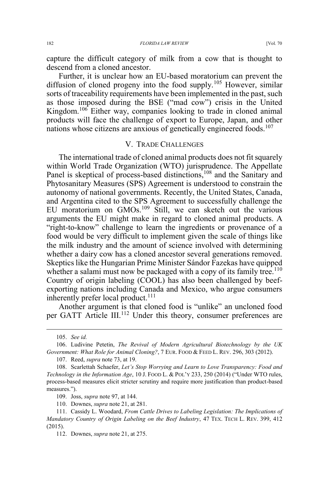capture the difficult category of milk from a cow that is thought to descend from a cloned ancestor.

Further, it is unclear how an EU-based moratorium can prevent the diffusion of cloned progeny into the food supply.<sup>105</sup> However, similar sorts of traceability requirements have been implemented in the past, such as those imposed during the BSE ("mad cow") crisis in the United Kingdom.<sup>106</sup> Either way, companies looking to trade in cloned animal products will face the challenge of export to Europe, Japan, and other nations whose citizens are anxious of genetically engineered foods.<sup>107</sup>

#### V. TRADE CHALLENGES

The international trade of cloned animal products does not fit squarely within World Trade Organization (WTO) jurisprudence. The Appellate Panel is skeptical of process-based distinctions,<sup>108</sup> and the Sanitary and Phytosanitary Measures (SPS) Agreement is understood to constrain the autonomy of national governments. Recently, the United States, Canada, and Argentina cited to the SPS Agreement to successfully challenge the EU moratorium on GMOs.<sup>109</sup> Still, we can sketch out the various arguments the EU might make in regard to cloned animal products. A "right-to-know" challenge to learn the ingredients or provenance of a food would be very difficult to implement given the scale of things like the milk industry and the amount of science involved with determining whether a dairy cow has a cloned ancestor several generations removed. Skeptics like the Hungarian Prime Minister Sándor Fazekas have quipped whether a salami must now be packaged with a copy of its family tree.<sup>110</sup> Country of origin labeling (COOL) has also been challenged by beefexporting nations including Canada and Mexico, who argue consumers inherently prefer local product.<sup>111</sup>

Another argument is that cloned food is "unlike" an uncloned food per GATT Article III.<sup>112</sup> Under this theory, consumer preferences are

 <sup>105.</sup> *See id.*

<sup>106.</sup> Ludivine Petetin, *The Revival of Modern Agricultural Biotechnology by the UK Government: What Role for Animal Cloning?*, 7 EUR. FOOD & FEED L. REV. 296, 303 (2012).

<sup>107.</sup> Reed, *supra* note 73, at 19.

<sup>108.</sup> Scarlettah Schaefer, *Let's Stop Worrying and Learn to Love Transparency: Food and Technology in the Information Age*, 10 J. FOOD L. & POL'Y 233, 250 (2014) ("Under WTO rules, process-based measures elicit stricter scrutiny and require more justification than product-based measures.").

<sup>109.</sup> Joss, *supra* note 97, at 144.

<sup>110.</sup> Downes, *supra* note 21, at 281.

<sup>111.</sup> Cassidy L. Woodard, *From Cattle Drives to Labeling Legislation: The Implications of Mandatory Country of Origin Labeling on the Beef Industry*, 47 TEX. TECH L. REV. 399, 412 (2015).

<sup>112.</sup> Downes, *supra* note 21, at 275.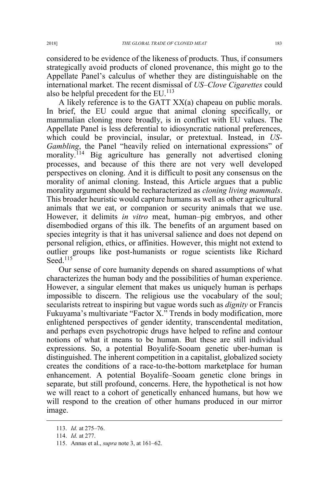considered to be evidence of the likeness of products. Thus, if consumers strategically avoid products of cloned provenance, this might go to the Appellate Panel's calculus of whether they are distinguishable on the international market. The recent dismissal of *US–Clove Cigarettes* could also be helpful precedent for the  $EU$ .<sup>113</sup>

A likely reference is to the GATT XX(a) chapeau on public morals. In brief, the EU could argue that animal cloning specifically, or mammalian cloning more broadly, is in conflict with EU values. The Appellate Panel is less deferential to idiosyncratic national preferences, which could be provincial, insular, or pretextual. Instead, in *US-Gambling*, the Panel "heavily relied on international expressions" of morality.<sup>114</sup> Big agriculture has generally not advertised cloning processes, and because of this there are not very well developed perspectives on cloning. And it is difficult to posit any consensus on the morality of animal cloning. Instead, this Article argues that a public morality argument should be recharacterized as *cloning living mammals*. This broader heuristic would capture humans as well as other agricultural animals that we eat, or companion or security animals that we use. However, it delimits *in vitro* meat, human–pig embryos, and other disembodied organs of this ilk. The benefits of an argument based on species integrity is that it has universal salience and does not depend on personal religion, ethics, or affinities. However, this might not extend to outlier groups like post-humanists or rogue scientists like Richard Seed.<sup>115</sup>

Our sense of core humanity depends on shared assumptions of what characterizes the human body and the possibilities of human experience. However, a singular element that makes us uniquely human is perhaps impossible to discern. The religious use the vocabulary of the soul; secularists retreat to inspiring but vague words such as *dignity* or Francis Fukuyama's multivariate "Factor X." Trends in body modification, more enlightened perspectives of gender identity, transcendental meditation, and perhaps even psychotropic drugs have helped to refine and contour notions of what it means to be human. But these are still individual expressions. So, a potential Boyalife-Sooam genetic uber-human is distinguished. The inherent competition in a capitalist, globalized society creates the conditions of a race-to-the-bottom marketplace for human enhancement. A potential Boyalife–Sooam genetic clone brings in separate, but still profound, concerns. Here, the hypothetical is not how we will react to a cohort of genetically enhanced humans, but how we will respond to the creation of other humans produced in our mirror image.

 <sup>113.</sup> *Id.* at 275–76.

<sup>114.</sup> *Id.* at 277.

<sup>115.</sup> Annas et al., *supra* note 3, at 161–62.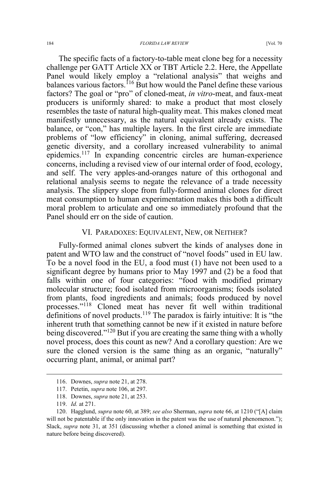The specific facts of a factory-to-table meat clone beg for a necessity challenge per GATT Article XX or TBT Article 2.2. Here, the Appellate Panel would likely employ a "relational analysis" that weighs and balances various factors.<sup>116</sup> But how would the Panel define these various factors? The goal or "pro" of cloned-meat, *in vitro*-meat, and faux-meat producers is uniformly shared: to make a product that most closely resembles the taste of natural high-quality meat. This makes cloned meat manifestly unnecessary, as the natural equivalent already exists. The balance, or "con," has multiple layers. In the first circle are immediate problems of "low efficiency" in cloning, animal suffering, decreased genetic diversity, and a corollary increased vulnerability to animal epidemics.<sup>117</sup> In expanding concentric circles are human-experience concerns, including a revised view of our internal order of food, ecology, and self. The very apples-and-oranges nature of this orthogonal and relational analysis seems to negate the relevance of a trade necessity analysis. The slippery slope from fully-formed animal clones for direct meat consumption to human experimentation makes this both a difficult moral problem to articulate and one so immediately profound that the Panel should err on the side of caution.

#### VI. PARADOXES: EQUIVALENT, NEW, OR NEITHER?

Fully-formed animal clones subvert the kinds of analyses done in patent and WTO law and the construct of "novel foods" used in EU law. To be a novel food in the EU, a food must (1) have not been used to a significant degree by humans prior to May 1997 and (2) be a food that falls within one of four categories: "food with modified primary molecular structure; food isolated from microorganisms; foods isolated from plants, food ingredients and animals; foods produced by novel processes."<sup>118</sup> Cloned meat has never fit well within traditional definitions of novel products.<sup>119</sup> The paradox is fairly intuitive: It is "the inherent truth that something cannot be new if it existed in nature before being discovered."<sup>120</sup> But if you are creating the same thing with a wholly novel process, does this count as new? And a corollary question: Are we sure the cloned version is the same thing as an organic, "naturally" occurring plant, animal, or animal part?

 <sup>116.</sup> Downes, *supra* note 21, at 278.

<sup>117.</sup> Petetin, *supra* note 106, at 297.

<sup>118.</sup> Downes, *supra* note 21, at 253.

<sup>119.</sup> *Id.* at 271.

<sup>120.</sup> Hagglund, *supra* note 60, at 389; *see also* Sherman, *supra* note 66, at 1210 ("[A] claim will not be patentable if the only innovation in the patent was the use of natural phenomenon."); Slack, *supra* note 31, at 351 (discussing whether a cloned animal is something that existed in nature before being discovered).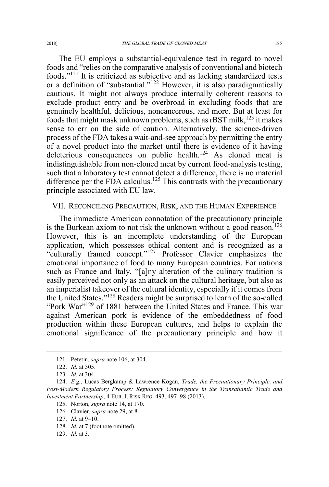The EU employs a substantial-equivalence test in regard to novel foods and "relies on the comparative analysis of conventional and biotech foods."<sup>121</sup> It is criticized as subjective and as lacking standardized tests or a definition of "substantial."<sup>122</sup> However, it is also paradigmatically cautious. It might not always produce internally coherent reasons to exclude product entry and be overbroad in excluding foods that are genuinely healthful, delicious, noncancerous, and more. But at least for foods that might mask unknown problems, such as  $r\text{BST}$  milk,<sup>123</sup> it makes sense to err on the side of caution. Alternatively, the science-driven process of the FDA takes a wait-and-see approach by permitting the entry of a novel product into the market until there is evidence of it having deleterious consequences on public health.<sup>124</sup> As cloned meat is indistinguishable from non-cloned meat by current food-analysis testing, such that a laboratory test cannot detect a difference, there is no material difference per the FDA calculus.<sup>125</sup> This contrasts with the precautionary principle associated with EU law.

#### VII. RECONCILING PRECAUTION, RISK, AND THE HUMAN EXPERIENCE

The immediate American connotation of the precautionary principle is the Burkean axiom to not risk the unknown without a good reason.<sup>126</sup> However, this is an incomplete understanding of the European application, which possesses ethical content and is recognized as a "culturally framed concept."<sup>127</sup> Professor Clavier emphasizes the emotional importance of food to many European countries. For nations such as France and Italy, "[a]ny alteration of the culinary tradition is easily perceived not only as an attack on the cultural heritage, but also as an imperialist takeover of the cultural identity, especially if it comes from the United States."<sup>128</sup> Readers might be surprised to learn of the so-called "Pork War"<sup>129</sup> of 1881 between the United States and France. This war against American pork is evidence of the embeddedness of food production within these European cultures, and helps to explain the emotional significance of the precautionary principle and how it

 <sup>121.</sup> Petetin, *supra* note 106, at 304.

<sup>122.</sup> *Id.* at 305.

<sup>123.</sup> *Id.* at 304.

<sup>124.</sup> *E.g.*, Lucas Bergkamp & Lawrence Kogan, *Trade, the Precautionary Principle, and Post-Modern Regulatory Process: Regulatory Convergence in the Transatlantic Trade and Investment Partnership*, 4 EUR. J. RISK REG. 493, 497–98 (2013).

<sup>125.</sup> Norton, *supra* note 14, at 170.

<sup>126.</sup> Clavier, *supra* note 29, at 8.

<sup>127.</sup> *Id.* at 9–10.

<sup>128.</sup> *Id.* at 7 (footnote omitted).

<sup>129.</sup> *Id.* at 3.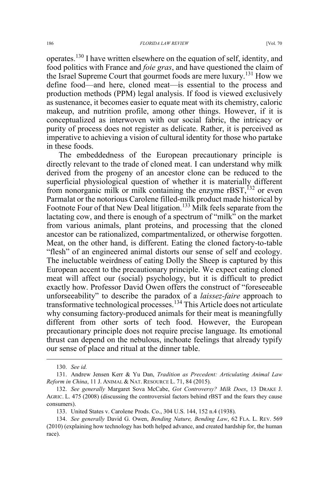operates.<sup>130</sup> I have written elsewhere on the equation of self, identity, and food politics with France and *foie gras*, and have questioned the claim of the Israel Supreme Court that gourmet foods are mere luxury.<sup>131</sup> How we define food—and here, cloned meat—is essential to the process and production methods (PPM) legal analysis. If food is viewed exclusively as sustenance, it becomes easier to equate meat with its chemistry, caloric makeup, and nutrition profile, among other things. However, if it is conceptualized as interwoven with our social fabric, the intricacy or purity of process does not register as delicate. Rather, it is perceived as imperative to achieving a vision of cultural identity for those who partake in these foods.

The embeddedness of the European precautionary principle is directly relevant to the trade of cloned meat. I can understand why milk derived from the progeny of an ancestor clone can be reduced to the superficial physiological question of whether it is materially different from nonorganic milk or milk containing the enzyme  $rBST$ ,  $^{132}$  or even Parmalat or the notorious Carolene filled-milk product made historical by Footnote Four of that New Deal litigation.<sup>133</sup> Milk feels separate from the lactating cow, and there is enough of a spectrum of "milk" on the market from various animals, plant proteins, and processing that the cloned ancestor can be rationalized, compartmentalized, or otherwise forgotten. Meat, on the other hand, is different. Eating the cloned factory-to-table "flesh" of an engineered animal distorts our sense of self and ecology. The ineluctable weirdness of eating Dolly the Sheep is captured by this European accent to the precautionary principle. We expect eating cloned meat will affect our (social) psychology, but it is difficult to predict exactly how. Professor David Owen offers the construct of "foreseeable unforseeability" to describe the paradox of a *laissez-faire* approach to transformative technological processes.<sup>134</sup> This Article does not articulate why consuming factory-produced animals for their meat is meaningfully different from other sorts of tech food. However, the European precautionary principle does not require precise language. Its emotional thrust can depend on the nebulous, inchoate feelings that already typify our sense of place and ritual at the dinner table.

 <sup>130.</sup> *See id.*

<sup>131.</sup> Andrew Jensen Kerr & Yu Dan, *Tradition as Precedent: Articulating Animal Law Reform in China*, 11 J. ANIMAL & NAT. RESOURCE L. 71, 84 (2015).

<sup>132.</sup> *See generally* Margaret Sova McCabe, *Got Controversy? Milk Does*, 13 DRAKE J. AGRIC. L. 475 (2008) (discussing the controversial factors behind rBST and the fears they cause consumers).

<sup>133.</sup> United States v. Carolene Prods. Co., 304 U.S. 144, 152 n.4 (1938).

<sup>134.</sup> *See generally* David G. Owen, *Bending Nature, Bending Law*, 62 FLA. L. REV. 569 (2010) (explaining how technology has both helped advance, and created hardship for, the human race).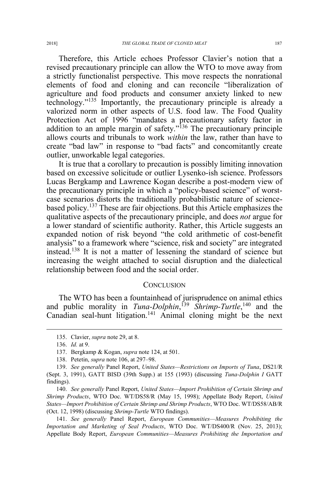Therefore, this Article echoes Professor Clavier's notion that a revised precautionary principle can allow the WTO to move away from a strictly functionalist perspective. This move respects the nonrational elements of food and cloning and can reconcile "liberalization of agriculture and food products and consumer anxiety linked to new technology."<sup>135</sup> Importantly, the precautionary principle is already a valorized norm in other aspects of U.S. food law. The Food Quality Protection Act of 1996 "mandates a precautionary safety factor in addition to an ample margin of safety."<sup>136</sup> The precautionary principle allows courts and tribunals to work *within* the law, rather than have to create "bad law" in response to "bad facts" and concomitantly create outlier, unworkable legal categories.

It is true that a corollary to precaution is possibly limiting innovation based on excessive solicitude or outlier Lysenko-ish science. Professors Lucas Bergkamp and Lawrence Kogan describe a post-modern view of the precautionary principle in which a "policy-based science" of worstcase scenarios distorts the traditionally probabilistic nature of sciencebased policy.<sup>137</sup> These are fair objections. But this Article emphasizes the qualitative aspects of the precautionary principle, and does *not* argue for a lower standard of scientific authority. Rather, this Article suggests an expanded notion of risk beyond "the cold arithmetic of cost-benefit analysis" to a framework where "science, risk and society" are integrated instead.138 It is not a matter of lessening the standard of science but increasing the weight attached to social disruption and the dialectical relationship between food and the social order.

#### **CONCLUSION**

The WTO has been a fountainhead of jurisprudence on animal ethics and public morality in *Tuna-Dolphin*,<sup>139</sup> *Shrimp-Turtle*,<sup>140</sup> and the Canadian seal-hunt litigation.<sup>141</sup> Animal cloning might be the next

138. Petetin, *supra* note 106, at 297–98.

140. *See generally* Panel Report, *United States—Import Prohibition of Certain Shrimp and Shrimp Products*, WTO Doc. WT/DS58/R (May 15, 1998); Appellate Body Report, *United States—Import Prohibition of Certain Shrimp and Shrimp Products*, WTO Doc. WT/DS58/AB/R (Oct. 12, 1998) (discussing *Shrimp-Turtle* WTO findings).

141. *See generally* Panel Report, *European Communities—Measures Prohibiting the Importation and Marketing of Seal Products*, WTO Doc. WT/DS400/R (Nov. 25, 2013); Appellate Body Report, *European Communities—Measures Prohibiting the Importation and* 

 <sup>135.</sup> Clavier, *supra* note 29, at 8.

<sup>136.</sup> *Id.* at 9.

<sup>137.</sup> Bergkamp & Kogan, *supra* note 124, at 501.

<sup>139.</sup> *See generally* Panel Report, *United States—Restrictions on Imports of Tuna*, DS21/R (Sept. 3, 1991), GATT BISD (39th Supp.) at 155 (1993) (discussing *Tuna-Dolphin I* GATT findings).